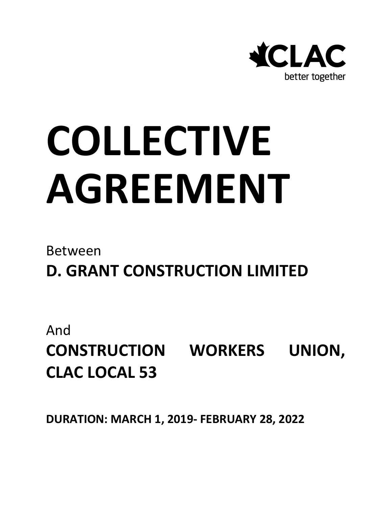

# **COLLECTIVE AGREEMENT**

# Between

**D. GRANT CONSTRUCTION LIMITED**

And **CONSTRUCTION WORKERS UNION, CLAC LOCAL 53**

**DURATION: MARCH 1, 2019- FEBRUARY 28, 2022**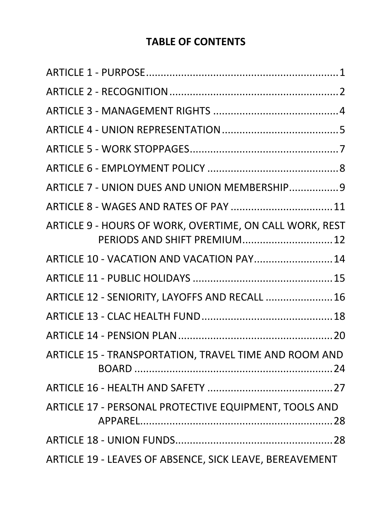# **TABLE OF CONTENTS**

| ARTICLE 9 - HOURS OF WORK, OVERTIME, ON CALL WORK, REST<br>PERIODS AND SHIFT PREMIUM 12 |
|-----------------------------------------------------------------------------------------|
| ARTICLE 10 - VACATION AND VACATION PAY 14                                               |
|                                                                                         |
| ARTICLE 12 - SENIORITY, LAYOFFS AND RECALL  16                                          |
|                                                                                         |
|                                                                                         |
| ARTICLE 15 - TRANSPORTATION, TRAVEL TIME AND ROOM AND                                   |
|                                                                                         |
| ARTICLE 17 - PERSONAL PROTECTIVE EQUIPMENT, TOOLS AND                                   |
|                                                                                         |
| ARTICLE 19 - LEAVES OF ABSENCE, SICK LEAVE, BEREAVEMENT                                 |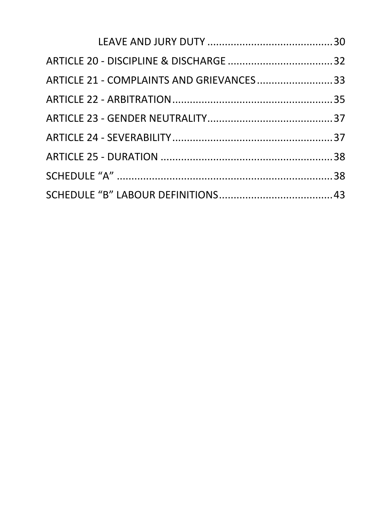| ARTICLE 21 - COMPLAINTS AND GRIEVANCES33 |  |
|------------------------------------------|--|
|                                          |  |
|                                          |  |
|                                          |  |
|                                          |  |
|                                          |  |
|                                          |  |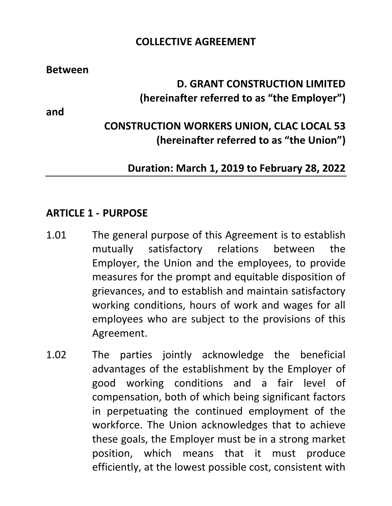#### **COLLECTIVE AGREEMENT**

**Between**

# **D. GRANT CONSTRUCTION LIMITED (hereinafter referred to as "the Employer")**

**and**

# **CONSTRUCTION WORKERS UNION, CLAC LOCAL 53 (hereinafter referred to as "the Union")**

#### **Duration: March 1, 2019 to February 28, 2022**

#### <span id="page-4-0"></span>**ARTICLE 1 - PURPOSE**

- 1.01 The general purpose of this Agreement is to establish mutually satisfactory relations between the Employer, the Union and the employees, to provide measures for the prompt and equitable disposition of grievances, and to establish and maintain satisfactory working conditions, hours of work and wages for all employees who are subject to the provisions of this Agreement.
- 1.02 The parties jointly acknowledge the beneficial advantages of the establishment by the Employer of good working conditions and a fair level of compensation, both of which being significant factors in perpetuating the continued employment of the workforce. The Union acknowledges that to achieve these goals, the Employer must be in a strong market position, which means that it must produce efficiently, at the lowest possible cost, consistent with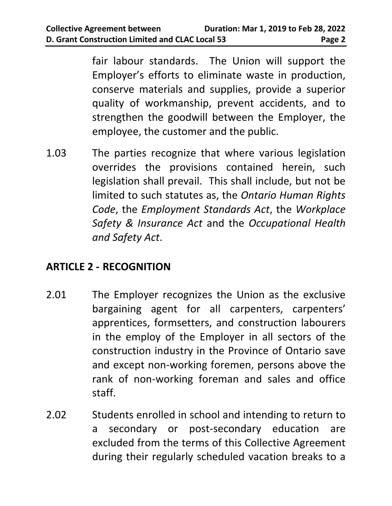fair labour standards. The Union will support the Employer's efforts to eliminate waste in production, conserve materials and supplies, provide a superior quality of workmanship, prevent accidents, and to strengthen the goodwill between the Employer, the employee, the customer and the public.

1.03 The parties recognize that where various legislation overrides the provisions contained herein, such legislation shall prevail. This shall include, but not be limited to such statutes as, the *Ontario Human Rights Code*, the *Employment Standards Act*, the *Workplace Safety & Insurance Act* and the *Occupational Health and Safety Act*.

# <span id="page-5-0"></span>**ARTICLE 2 - RECOGNITION**

- 2.01 The Employer recognizes the Union as the exclusive bargaining agent for all carpenters, carpenters' apprentices, formsetters, and construction labourers in the employ of the Employer in all sectors of the construction industry in the Province of Ontario save and except non-working foremen, persons above the rank of non-working foreman and sales and office staff.
- 2.02 Students enrolled in school and intending to return to a secondary or post-secondary education are excluded from the terms of this Collective Agreement during their regularly scheduled vacation breaks to a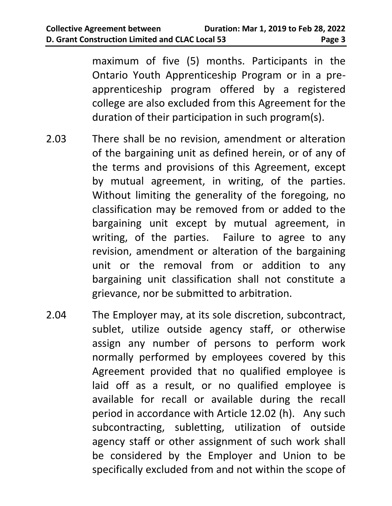maximum of five (5) months. Participants in the Ontario Youth Apprenticeship Program or in a preapprenticeship program offered by a registered college are also excluded from this Agreement for the duration of their participation in such program(s).

- 2.03 There shall be no revision, amendment or alteration of the bargaining unit as defined herein, or of any of the terms and provisions of this Agreement, except by mutual agreement, in writing, of the parties. Without limiting the generality of the foregoing, no classification may be removed from or added to the bargaining unit except by mutual agreement, in writing, of the parties. Failure to agree to any revision, amendment or alteration of the bargaining unit or the removal from or addition to any bargaining unit classification shall not constitute a grievance, nor be submitted to arbitration.
- 2.04 The Employer may, at its sole discretion, subcontract, sublet, utilize outside agency staff, or otherwise assign any number of persons to perform work normally performed by employees covered by this Agreement provided that no qualified employee is laid off as a result, or no qualified employee is available for recall or available during the recall period in accordance with Article 12.02 (h). Any such subcontracting, subletting, utilization of outside agency staff or other assignment of such work shall be considered by the Employer and Union to be specifically excluded from and not within the scope of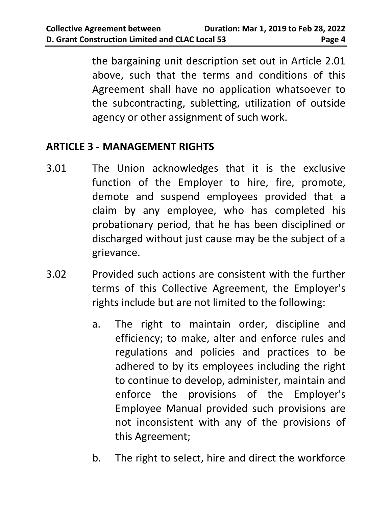the bargaining unit description set out in Article 2.01 above, such that the terms and conditions of this Agreement shall have no application whatsoever to the subcontracting, subletting, utilization of outside agency or other assignment of such work.

# <span id="page-7-0"></span>**ARTICLE 3 - MANAGEMENT RIGHTS**

- 3.01 The Union acknowledges that it is the exclusive function of the Employer to hire, fire, promote, demote and suspend employees provided that a claim by any employee, who has completed his probationary period, that he has been disciplined or discharged without just cause may be the subject of a grievance.
- 3.02 Provided such actions are consistent with the further terms of this Collective Agreement, the Employer's rights include but are not limited to the following:
	- a. The right to maintain order, discipline and efficiency; to make, alter and enforce rules and regulations and policies and practices to be adhered to by its employees including the right to continue to develop, administer, maintain and enforce the provisions of the Employer's Employee Manual provided such provisions are not inconsistent with any of the provisions of this Agreement;
	- b. The right to select, hire and direct the workforce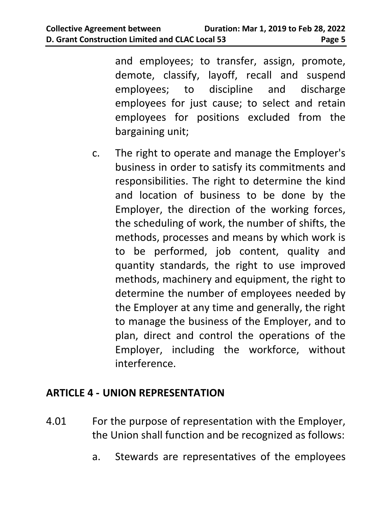and employees; to transfer, assign, promote, demote, classify, layoff, recall and suspend employees; to discipline and discharge employees for just cause; to select and retain employees for positions excluded from the bargaining unit;

c. The right to operate and manage the Employer's business in order to satisfy its commitments and responsibilities. The right to determine the kind and location of business to be done by the Employer, the direction of the working forces, the scheduling of work, the number of shifts, the methods, processes and means by which work is to be performed, job content, quality and quantity standards, the right to use improved methods, machinery and equipment, the right to determine the number of employees needed by the Employer at any time and generally, the right to manage the business of the Employer, and to plan, direct and control the operations of the Employer, including the workforce, without interference.

#### <span id="page-8-0"></span>**ARTICLE 4 - UNION REPRESENTATION**

- 4.01 For the purpose of representation with the Employer, the Union shall function and be recognized as follows:
	- a. Stewards are representatives of the employees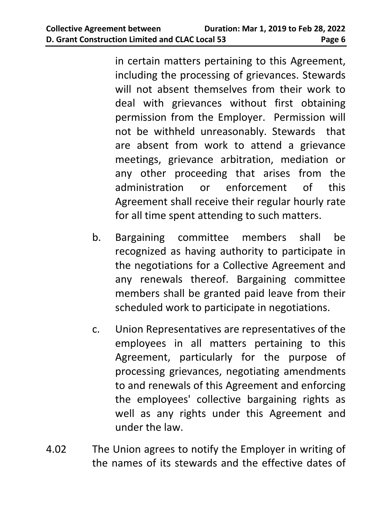in certain matters pertaining to this Agreement, including the processing of grievances. Stewards will not absent themselves from their work to deal with grievances without first obtaining permission from the Employer. Permission will not be withheld unreasonably. Stewards that are absent from work to attend a grievance meetings, grievance arbitration, mediation or any other proceeding that arises from the administration or enforcement of this Agreement shall receive their regular hourly rate for all time spent attending to such matters.

- b. Bargaining committee members shall be recognized as having authority to participate in the negotiations for a Collective Agreement and any renewals thereof. Bargaining committee members shall be granted paid leave from their scheduled work to participate in negotiations.
- c. Union Representatives are representatives of the employees in all matters pertaining to this Agreement, particularly for the purpose of processing grievances, negotiating amendments to and renewals of this Agreement and enforcing the employees' collective bargaining rights as well as any rights under this Agreement and under the law.
- 4.02 The Union agrees to notify the Employer in writing of the names of its stewards and the effective dates of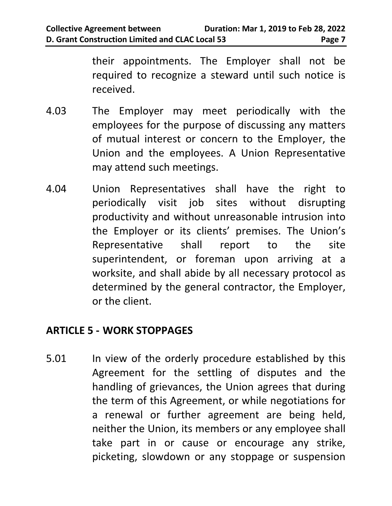their appointments. The Employer shall not be required to recognize a steward until such notice is received.

- 4.03 The Employer may meet periodically with the employees for the purpose of discussing any matters of mutual interest or concern to the Employer, the Union and the employees. A Union Representative may attend such meetings.
- 4.04 Union Representatives shall have the right to periodically visit job sites without disrupting productivity and without unreasonable intrusion into the Employer or its clients' premises. The Union's Representative shall report to the site superintendent, or foreman upon arriving at a worksite, and shall abide by all necessary protocol as determined by the general contractor, the Employer, or the client.

#### <span id="page-10-0"></span>**ARTICLE 5 - WORK STOPPAGES**

5.01 In view of the orderly procedure established by this Agreement for the settling of disputes and the handling of grievances, the Union agrees that during the term of this Agreement, or while negotiations for a renewal or further agreement are being held, neither the Union, its members or any employee shall take part in or cause or encourage any strike, picketing, slowdown or any stoppage or suspension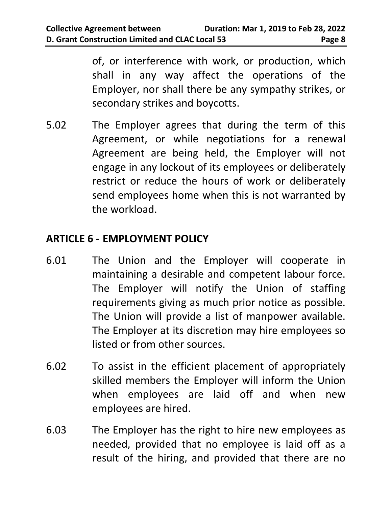of, or interference with work, or production, which shall in any way affect the operations of the Employer, nor shall there be any sympathy strikes, or secondary strikes and boycotts.

5.02 The Employer agrees that during the term of this Agreement, or while negotiations for a renewal Agreement are being held, the Employer will not engage in any lockout of its employees or deliberately restrict or reduce the hours of work or deliberately send employees home when this is not warranted by the workload.

# <span id="page-11-0"></span>**ARTICLE 6 - EMPLOYMENT POLICY**

- 6.01 The Union and the Employer will cooperate in maintaining a desirable and competent labour force. The Employer will notify the Union of staffing requirements giving as much prior notice as possible. The Union will provide a list of manpower available. The Employer at its discretion may hire employees so listed or from other sources.
- 6.02 To assist in the efficient placement of appropriately skilled members the Employer will inform the Union when employees are laid off and when new employees are hired.
- 6.03 The Employer has the right to hire new employees as needed, provided that no employee is laid off as a result of the hiring, and provided that there are no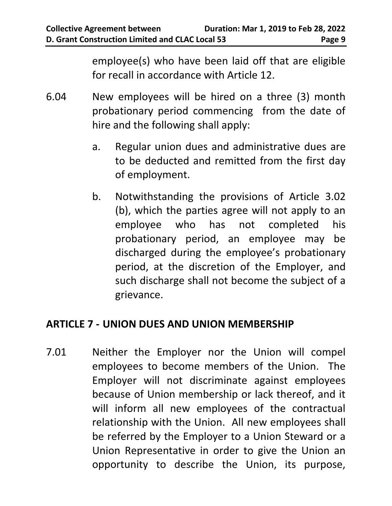employee(s) who have been laid off that are eligible for recall in accordance with Article 12.

- 6.04 New employees will be hired on a three (3) month probationary period commencing from the date of hire and the following shall apply:
	- a. Regular union dues and administrative dues are to be deducted and remitted from the first day of employment.
	- b. Notwithstanding the provisions of Article 3.02 (b), which the parties agree will not apply to an employee who has not completed his probationary period, an employee may be discharged during the employee's probationary period, at the discretion of the Employer, and such discharge shall not become the subject of a grievance.

#### <span id="page-12-0"></span>**ARTICLE 7 - UNION DUES AND UNION MEMBERSHIP**

7.01 Neither the Employer nor the Union will compel employees to become members of the Union. The Employer will not discriminate against employees because of Union membership or lack thereof, and it will inform all new employees of the contractual relationship with the Union. All new employees shall be referred by the Employer to a Union Steward or a Union Representative in order to give the Union an opportunity to describe the Union, its purpose,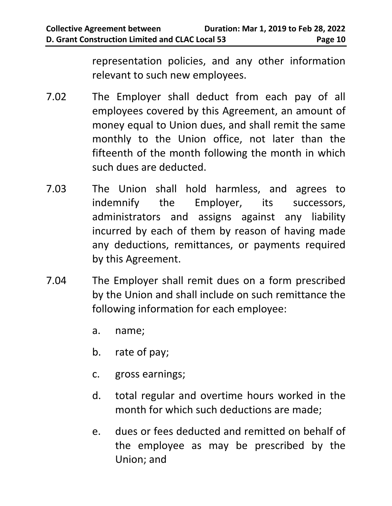representation policies, and any other information relevant to such new employees.

- 7.02 The Employer shall deduct from each pay of all employees covered by this Agreement, an amount of money equal to Union dues, and shall remit the same monthly to the Union office, not later than the fifteenth of the month following the month in which such dues are deducted.
- 7.03 The Union shall hold harmless, and agrees to indemnify the Employer, its successors, administrators and assigns against any liability incurred by each of them by reason of having made any deductions, remittances, or payments required by this Agreement.
- 7.04 The Employer shall remit dues on a form prescribed by the Union and shall include on such remittance the following information for each employee:
	- a. name;
	- b. rate of pay;
	- c. gross earnings;
	- d. total regular and overtime hours worked in the month for which such deductions are made;
	- e. dues or fees deducted and remitted on behalf of the employee as may be prescribed by the Union; and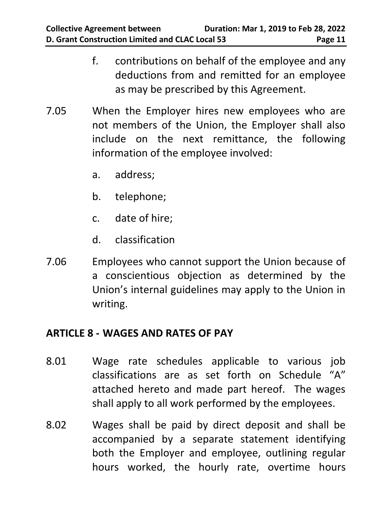- f. contributions on behalf of the employee and any deductions from and remitted for an employee as may be prescribed by this Agreement.
- 7.05 When the Employer hires new employees who are not members of the Union, the Employer shall also include on the next remittance, the following information of the employee involved:
	- a. address;
	- b. telephone;
	- c. date of hire;
	- d. classification
- 7.06 Employees who cannot support the Union because of a conscientious objection as determined by the Union's internal guidelines may apply to the Union in writing.

#### <span id="page-14-0"></span>**ARTICLE 8 - WAGES AND RATES OF PAY**

- 8.01 Wage rate schedules applicable to various job classifications are as set forth on Schedule "A" attached hereto and made part hereof. The wages shall apply to all work performed by the employees.
- 8.02 Wages shall be paid by direct deposit and shall be accompanied by a separate statement identifying both the Employer and employee, outlining regular hours worked, the hourly rate, overtime hours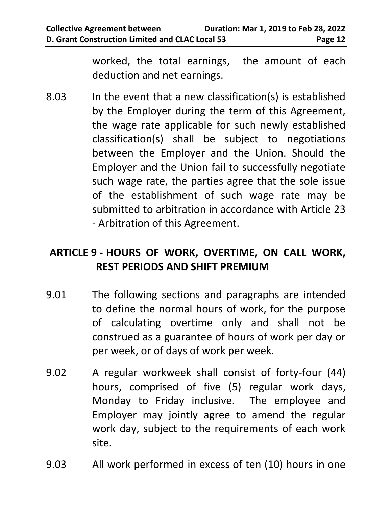worked, the total earnings, the amount of each deduction and net earnings.

8.03 In the event that a new classification(s) is established by the Employer during the term of this Agreement, the wage rate applicable for such newly established classification(s) shall be subject to negotiations between the Employer and the Union. Should the Employer and the Union fail to successfully negotiate such wage rate, the parties agree that the sole issue of the establishment of such wage rate may be submitted to arbitration in accordance with Article 23 - Arbitration of this Agreement.

# <span id="page-15-0"></span>**ARTICLE 9 - HOURS OF WORK, OVERTIME, ON CALL WORK, REST PERIODS AND SHIFT PREMIUM**

- 9.01 The following sections and paragraphs are intended to define the normal hours of work, for the purpose of calculating overtime only and shall not be construed as a guarantee of hours of work per day or per week, or of days of work per week.
- 9.02 A regular workweek shall consist of forty-four (44) hours, comprised of five (5) regular work days, Monday to Friday inclusive. The employee and Employer may jointly agree to amend the regular work day, subject to the requirements of each work site.
- 9.03 All work performed in excess of ten (10) hours in one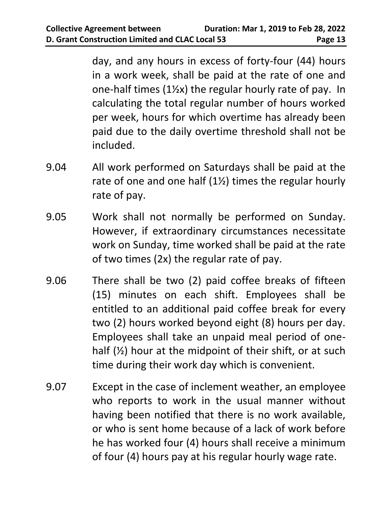day, and any hours in excess of forty-four (44) hours in a work week, shall be paid at the rate of one and one-half times (1½x) the regular hourly rate of pay. In calculating the total regular number of hours worked per week, hours for which overtime has already been paid due to the daily overtime threshold shall not be included.

- 9.04 All work performed on Saturdays shall be paid at the rate of one and one half  $(12)$  times the regular hourly rate of pay.
- 9.05 Work shall not normally be performed on Sunday. However, if extraordinary circumstances necessitate work on Sunday, time worked shall be paid at the rate of two times (2x) the regular rate of pay.
- 9.06 There shall be two (2) paid coffee breaks of fifteen (15) minutes on each shift. Employees shall be entitled to an additional paid coffee break for every two (2) hours worked beyond eight (8) hours per day. Employees shall take an unpaid meal period of onehalf  $(\frac{1}{2})$  hour at the midpoint of their shift, or at such time during their work day which is convenient.
- 9.07 Except in the case of inclement weather, an employee who reports to work in the usual manner without having been notified that there is no work available, or who is sent home because of a lack of work before he has worked four (4) hours shall receive a minimum of four (4) hours pay at his regular hourly wage rate.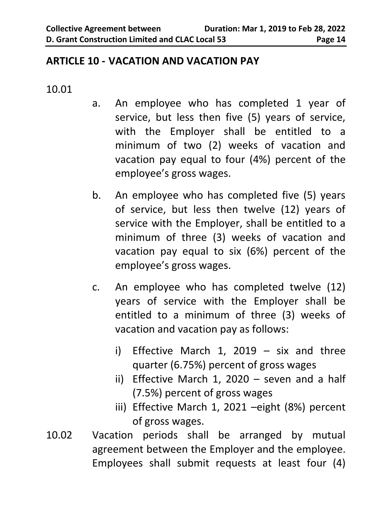#### <span id="page-17-0"></span>**ARTICLE 10 - VACATION AND VACATION PAY**

#### 10.01

- a. An employee who has completed 1 year of service, but less then five (5) years of service, with the Employer shall be entitled to a minimum of two (2) weeks of vacation and vacation pay equal to four (4%) percent of the employee's gross wages.
- b. An employee who has completed five (5) years of service, but less then twelve (12) years of service with the Employer, shall be entitled to a minimum of three (3) weeks of vacation and vacation pay equal to six (6%) percent of the employee's gross wages.
- c. An employee who has completed twelve (12) years of service with the Employer shall be entitled to a minimum of three (3) weeks of vacation and vacation pay as follows:
	- i) Effective March 1, 2019 six and three quarter (6.75%) percent of gross wages
	- ii) Effective March 1, 2020 seven and a half (7.5%) percent of gross wages
	- iii) Effective March 1, 2021 –eight (8%) percent of gross wages.
- 10.02 Vacation periods shall be arranged by mutual agreement between the Employer and the employee. Employees shall submit requests at least four (4)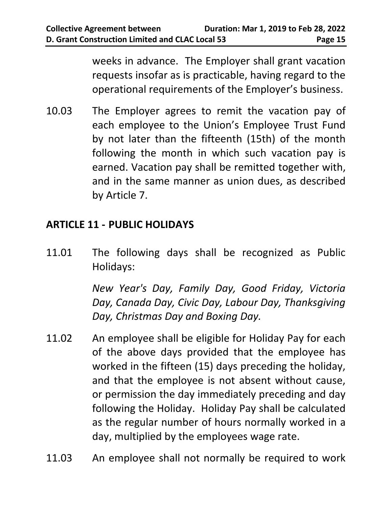weeks in advance. The Employer shall grant vacation requests insofar as is practicable, having regard to the operational requirements of the Employer's business.

10.03 The Employer agrees to remit the vacation pay of each employee to the Union's Employee Trust Fund by not later than the fifteenth (15th) of the month following the month in which such vacation pay is earned. Vacation pay shall be remitted together with, and in the same manner as union dues, as described by Article 7.

# <span id="page-18-0"></span>**ARTICLE 11 - PUBLIC HOLIDAYS**

11.01 The following days shall be recognized as Public Holidays:

> *New Year's Day, Family Day, Good Friday, Victoria Day, Canada Day, Civic Day, Labour Day, Thanksgiving Day, Christmas Day and Boxing Day.*

- 11.02 An employee shall be eligible for Holiday Pay for each of the above days provided that the employee has worked in the fifteen (15) days preceding the holiday, and that the employee is not absent without cause, or permission the day immediately preceding and day following the Holiday. Holiday Pay shall be calculated as the regular number of hours normally worked in a day, multiplied by the employees wage rate.
- 11.03 An employee shall not normally be required to work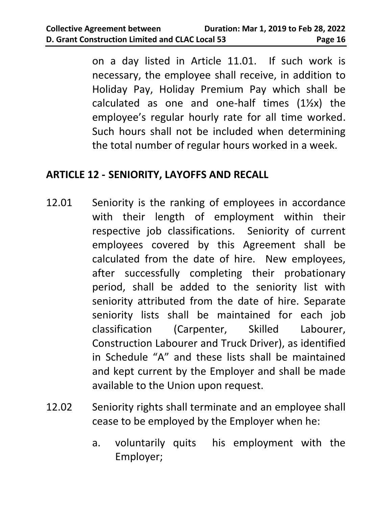on a day listed in Article 11.01. If such work is necessary, the employee shall receive, in addition to Holiday Pay, Holiday Premium Pay which shall be calculated as one and one-half times  $(1\frac{1}{2}x)$  the employee's regular hourly rate for all time worked. Such hours shall not be included when determining the total number of regular hours worked in a week.

#### <span id="page-19-0"></span>**ARTICLE 12 - SENIORITY, LAYOFFS AND RECALL**

- 12.01 Seniority is the ranking of employees in accordance with their length of employment within their respective job classifications. Seniority of current employees covered by this Agreement shall be calculated from the date of hire. New employees, after successfully completing their probationary period, shall be added to the seniority list with seniority attributed from the date of hire. Separate seniority lists shall be maintained for each job classification (Carpenter, Skilled Labourer, Construction Labourer and Truck Driver), as identified in Schedule "A" and these lists shall be maintained and kept current by the Employer and shall be made available to the Union upon request.
- 12.02 Seniority rights shall terminate and an employee shall cease to be employed by the Employer when he:
	- a. voluntarily quits his employment with the Employer;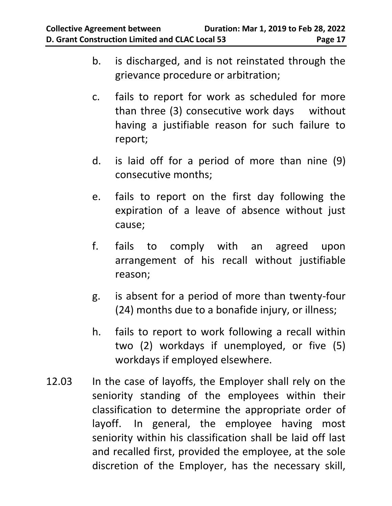- b. is discharged, and is not reinstated through the grievance procedure or arbitration;
- c. fails to report for work as scheduled for more than three (3) consecutive work days without having a justifiable reason for such failure to report;
- d. is laid off for a period of more than nine (9) consecutive months;
- e. fails to report on the first day following the expiration of a leave of absence without just cause;
- f. fails to comply with an agreed upon arrangement of his recall without justifiable reason;
- g. is absent for a period of more than twenty-four (24) months due to a bonafide injury, or illness;
- h. fails to report to work following a recall within two (2) workdays if unemployed, or five (5) workdays if employed elsewhere.
- 12.03 In the case of layoffs, the Employer shall rely on the seniority standing of the employees within their classification to determine the appropriate order of layoff. In general, the employee having most seniority within his classification shall be laid off last and recalled first, provided the employee, at the sole discretion of the Employer, has the necessary skill,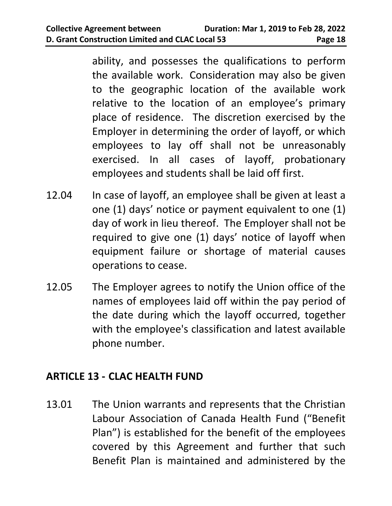ability, and possesses the qualifications to perform the available work. Consideration may also be given to the geographic location of the available work relative to the location of an employee's primary place of residence. The discretion exercised by the Employer in determining the order of layoff, or which employees to lay off shall not be unreasonably exercised. In all cases of layoff, probationary employees and students shall be laid off first.

- 12.04 In case of layoff, an employee shall be given at least a one (1) days' notice or payment equivalent to one (1) day of work in lieu thereof. The Employer shall not be required to give one (1) days' notice of layoff when equipment failure or shortage of material causes operations to cease.
- 12.05 The Employer agrees to notify the Union office of the names of employees laid off within the pay period of the date during which the layoff occurred, together with the employee's classification and latest available phone number.

#### <span id="page-21-0"></span>**ARTICLE 13 - CLAC HEALTH FUND**

13.01 The Union warrants and represents that the Christian Labour Association of Canada Health Fund ("Benefit Plan") is established for the benefit of the employees covered by this Agreement and further that such Benefit Plan is maintained and administered by the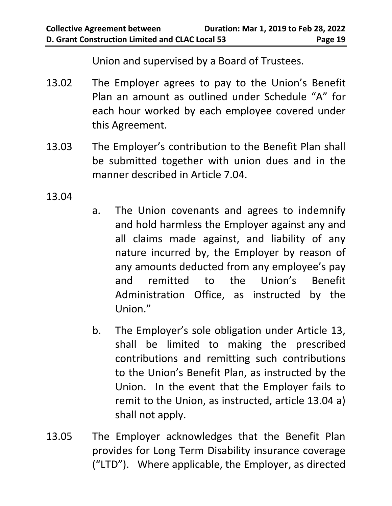Union and supervised by a Board of Trustees.

- 13.02 The Employer agrees to pay to the Union's Benefit Plan an amount as outlined under Schedule "A" for each hour worked by each employee covered under this Agreement.
- 13.03 The Employer's contribution to the Benefit Plan shall be submitted together with union dues and in the manner described in Article 7.04.

13.04

- a. The Union covenants and agrees to indemnify and hold harmless the Employer against any and all claims made against, and liability of any nature incurred by, the Employer by reason of any amounts deducted from any employee's pay and remitted to the Union's Benefit Administration Office, as instructed by the Union."
- b. The Employer's sole obligation under Article 13, shall be limited to making the prescribed contributions and remitting such contributions to the Union's Benefit Plan, as instructed by the Union. In the event that the Employer fails to remit to the Union, as instructed, article 13.04 a) shall not apply.
- 13.05 The Employer acknowledges that the Benefit Plan provides for Long Term Disability insurance coverage ("LTD"). Where applicable, the Employer, as directed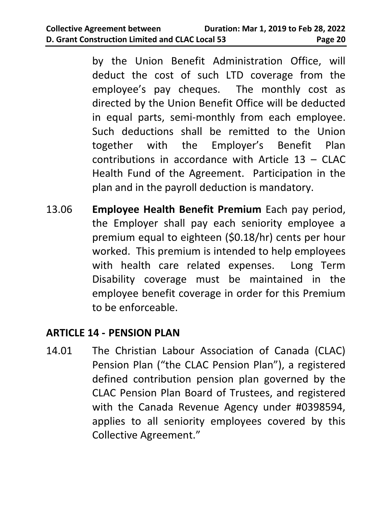by the Union Benefit Administration Office, will deduct the cost of such LTD coverage from the employee's pay cheques. The monthly cost as directed by the Union Benefit Office will be deducted in equal parts, semi-monthly from each employee. Such deductions shall be remitted to the Union together with the Employer's Benefit Plan contributions in accordance with Article 13 – CLAC Health Fund of the Agreement. Participation in the plan and in the payroll deduction is mandatory.

13.06 **Employee Health Benefit Premium** Each pay period, the Employer shall pay each seniority employee a premium equal to eighteen (\$0.18/hr) cents per hour worked. This premium is intended to help employees with health care related expenses. Long Term Disability coverage must be maintained in the employee benefit coverage in order for this Premium to be enforceable.

#### <span id="page-23-0"></span>**ARTICLE 14 - PENSION PLAN**

14.01 The Christian Labour Association of Canada (CLAC) Pension Plan ("the CLAC Pension Plan"), a registered defined contribution pension plan governed by the CLAC Pension Plan Board of Trustees, and registered with the Canada Revenue Agency under #0398594, applies to all seniority employees covered by this Collective Agreement."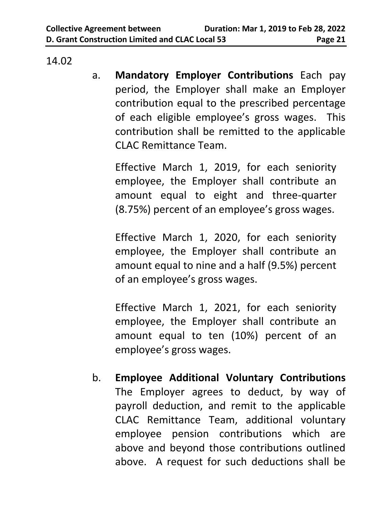14.02

a. **Mandatory Employer Contributions** Each pay period, the Employer shall make an Employer contribution equal to the prescribed percentage of each eligible employee's gross wages. This contribution shall be remitted to the applicable CLAC Remittance Team.

Effective March 1, 2019, for each seniority employee, the Employer shall contribute an amount equal to eight and three-quarter (8.75%) percent of an employee's gross wages.

Effective March 1, 2020, for each seniority employee, the Employer shall contribute an amount equal to nine and a half (9.5%) percent of an employee's gross wages.

Effective March 1, 2021, for each seniority employee, the Employer shall contribute an amount equal to ten (10%) percent of an employee's gross wages.

b. **Employee Additional Voluntary Contributions** The Employer agrees to deduct, by way of payroll deduction, and remit to the applicable CLAC Remittance Team, additional voluntary employee pension contributions which are above and beyond those contributions outlined above. A request for such deductions shall be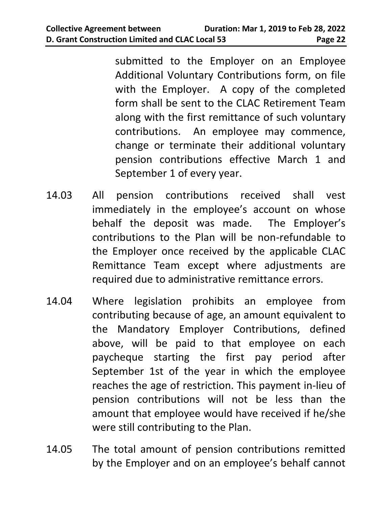submitted to the Employer on an Employee Additional Voluntary Contributions form, on file with the Employer. A copy of the completed form shall be sent to the CLAC Retirement Team along with the first remittance of such voluntary contributions. An employee may commence, change or terminate their additional voluntary pension contributions effective March 1 and September 1 of every year.

- 14.03 All pension contributions received shall vest immediately in the employee's account on whose behalf the deposit was made. The Employer's contributions to the Plan will be non-refundable to the Employer once received by the applicable CLAC Remittance Team except where adjustments are required due to administrative remittance errors.
- 14.04 Where legislation prohibits an employee from contributing because of age, an amount equivalent to the Mandatory Employer Contributions, defined above, will be paid to that employee on each paycheque starting the first pay period after September 1st of the year in which the employee reaches the age of restriction. This payment in-lieu of pension contributions will not be less than the amount that employee would have received if he/she were still contributing to the Plan.
- 14.05 The total amount of pension contributions remitted by the Employer and on an employee's behalf cannot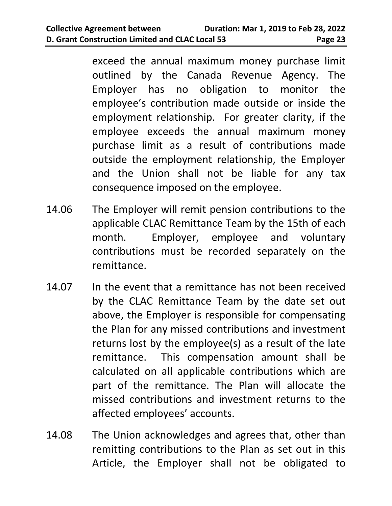exceed the annual maximum money purchase limit outlined by the Canada Revenue Agency. The Employer has no obligation to monitor the employee's contribution made outside or inside the employment relationship. For greater clarity, if the employee exceeds the annual maximum money purchase limit as a result of contributions made outside the employment relationship, the Employer and the Union shall not be liable for any tax consequence imposed on the employee.

- 14.06 The Employer will remit pension contributions to the applicable CLAC Remittance Team by the 15th of each month. Employer, employee and voluntary contributions must be recorded separately on the remittance.
- 14.07 In the event that a remittance has not been received by the CLAC Remittance Team by the date set out above, the Employer is responsible for compensating the Plan for any missed contributions and investment returns lost by the employee(s) as a result of the late remittance. This compensation amount shall be calculated on all applicable contributions which are part of the remittance. The Plan will allocate the missed contributions and investment returns to the affected employees' accounts.
- 14.08 The Union acknowledges and agrees that, other than remitting contributions to the Plan as set out in this Article, the Employer shall not be obligated to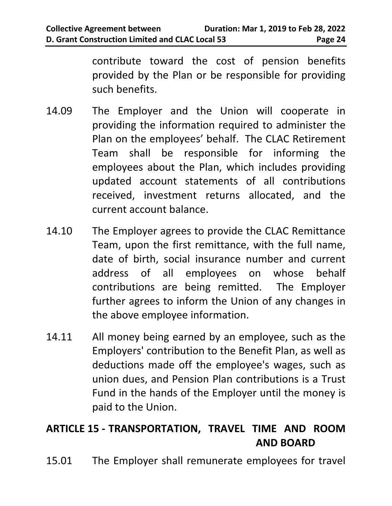contribute toward the cost of pension benefits provided by the Plan or be responsible for providing such benefits.

- 14.09 The Employer and the Union will cooperate in providing the information required to administer the Plan on the employees' behalf. The CLAC Retirement Team shall be responsible for informing the employees about the Plan, which includes providing updated account statements of all contributions received, investment returns allocated, and the current account balance.
- 14.10 The Employer agrees to provide the CLAC Remittance Team, upon the first remittance, with the full name, date of birth, social insurance number and current address of all employees on whose behalf contributions are being remitted. The Employer further agrees to inform the Union of any changes in the above employee information.
- 14.11 All money being earned by an employee, such as the Employers' contribution to the Benefit Plan, as well as deductions made off the employee's wages, such as union dues, and Pension Plan contributions is a Trust Fund in the hands of the Employer until the money is paid to the Union.

# <span id="page-27-0"></span>**ARTICLE 15 - TRANSPORTATION, TRAVEL TIME AND ROOM AND BOARD**

15.01 The Employer shall remunerate employees for travel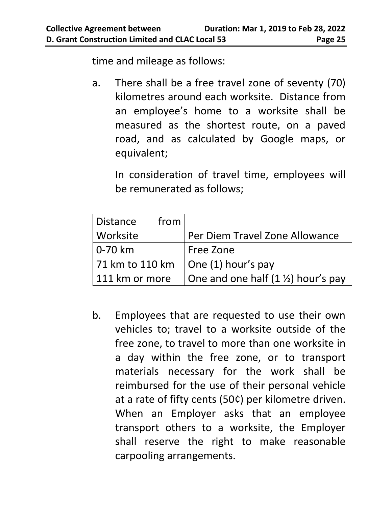time and mileage as follows:

a. There shall be a free travel zone of seventy (70) kilometres around each worksite. Distance from an employee's home to a worksite shall be measured as the shortest route, on a paved road, and as calculated by Google maps, or equivalent;

In consideration of travel time, employees will be remunerated as follows;

| Distance<br>from |                                               |
|------------------|-----------------------------------------------|
| Worksite         | Per Diem Travel Zone Allowance                |
| ' 0-70 km        | Free Zone                                     |
| 71 km to 110 km  | $\vert$ One (1) hour's pay                    |
| 111 km or more   | One and one half $(1 \frac{1}{2})$ hour's pay |

b. Employees that are requested to use their own vehicles to; travel to a worksite outside of the free zone, to travel to more than one worksite in a day within the free zone, or to transport materials necessary for the work shall be reimbursed for the use of their personal vehicle at a rate of fifty cents (50¢) per kilometre driven. When an Employer asks that an employee transport others to a worksite, the Employer shall reserve the right to make reasonable carpooling arrangements.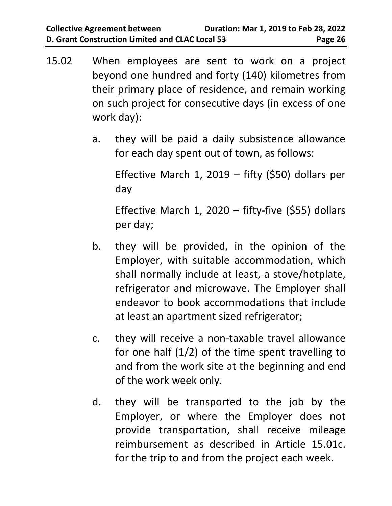- 15.02 When employees are sent to work on a project beyond one hundred and forty (140) kilometres from their primary place of residence, and remain working on such project for consecutive days (in excess of one work day):
	- a. they will be paid a daily subsistence allowance for each day spent out of town, as follows:

Effective March 1, 2019 – fifty  $(550)$  dollars per day

Effective March 1, 2020 – fifty-five (\$55) dollars per day;

- b. they will be provided, in the opinion of the Employer, with suitable accommodation, which shall normally include at least, a stove/hotplate, refrigerator and microwave. The Employer shall endeavor to book accommodations that include at least an apartment sized refrigerator;
- c. they will receive a non-taxable travel allowance for one half  $(1/2)$  of the time spent travelling to and from the work site at the beginning and end of the work week only.
- d. they will be transported to the job by the Employer, or where the Employer does not provide transportation, shall receive mileage reimbursement as described in Article 15.01c. for the trip to and from the project each week.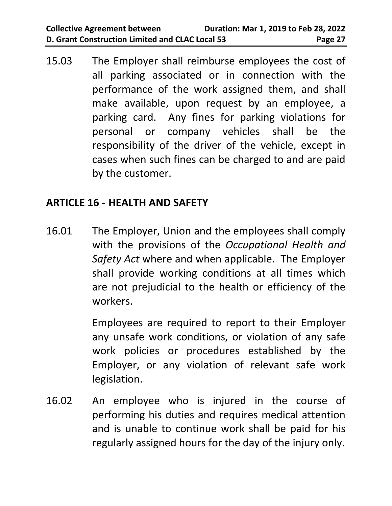15.03 The Employer shall reimburse employees the cost of all parking associated or in connection with the performance of the work assigned them, and shall make available, upon request by an employee, a parking card. Any fines for parking violations for personal or company vehicles shall be the responsibility of the driver of the vehicle, except in cases when such fines can be charged to and are paid by the customer.

#### <span id="page-30-0"></span>**ARTICLE 16 - HEALTH AND SAFETY**

16.01 The Employer, Union and the employees shall comply with the provisions of the *Occupational Health and Safety Act* where and when applicable. The Employer shall provide working conditions at all times which are not prejudicial to the health or efficiency of the workers.

> Employees are required to report to their Employer any unsafe work conditions, or violation of any safe work policies or procedures established by the Employer, or any violation of relevant safe work legislation.

16.02 An employee who is injured in the course of performing his duties and requires medical attention and is unable to continue work shall be paid for his regularly assigned hours for the day of the injury only.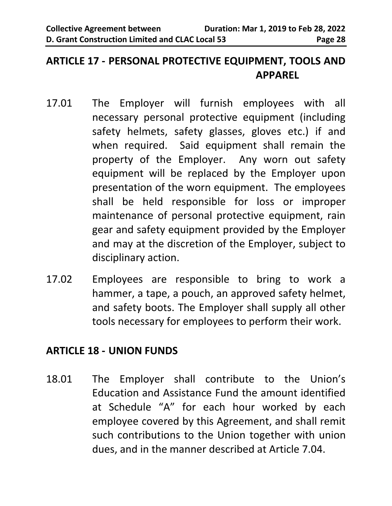#### <span id="page-31-0"></span>**ARTICLE 17 - PERSONAL PROTECTIVE EQUIPMENT, TOOLS AND APPAREL**

- 17.01 The Employer will furnish employees with all necessary personal protective equipment (including safety helmets, safety glasses, gloves etc.) if and when required. Said equipment shall remain the property of the Employer. Any worn out safety equipment will be replaced by the Employer upon presentation of the worn equipment. The employees shall be held responsible for loss or improper maintenance of personal protective equipment, rain gear and safety equipment provided by the Employer and may at the discretion of the Employer, subject to disciplinary action.
- 17.02 Employees are responsible to bring to work a hammer, a tape, a pouch, an approved safety helmet, and safety boots. The Employer shall supply all other tools necessary for employees to perform their work.

#### <span id="page-31-1"></span>**ARTICLE 18 - UNION FUNDS**

18.01 The Employer shall contribute to the Union's Education and Assistance Fund the amount identified at Schedule "A" for each hour worked by each employee covered by this Agreement, and shall remit such contributions to the Union together with union dues, and in the manner described at Article 7.04.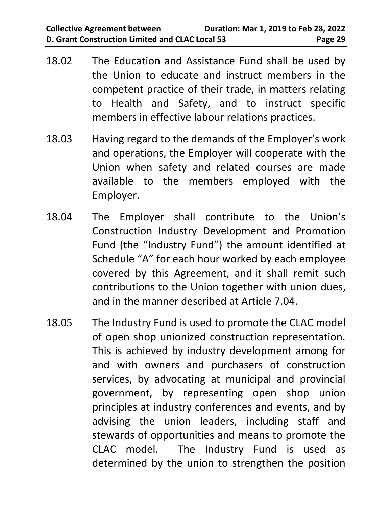- 18.02 The Education and Assistance Fund shall be used by the Union to educate and instruct members in the competent practice of their trade, in matters relating to Health and Safety, and to instruct specific members in effective labour relations practices.
- 18.03 Having regard to the demands of the Employer's work and operations, the Employer will cooperate with the Union when safety and related courses are made available to the members employed with the Employer.
- 18.04 The Employer shall contribute to the Union's Construction Industry Development and Promotion Fund (the "Industry Fund") the amount identified at Schedule "A" for each hour worked by each employee covered by this Agreement, and it shall remit such contributions to the Union together with union dues, and in the manner described at Article 7.04.
- 18.05 The Industry Fund is used to promote the CLAC model of open shop unionized construction representation. This is achieved by industry development among for and with owners and purchasers of construction services, by advocating at municipal and provincial government, by representing open shop union principles at industry conferences and events, and by advising the union leaders, including staff and stewards of opportunities and means to promote the CLAC model. The Industry Fund is used as determined by the union to strengthen the position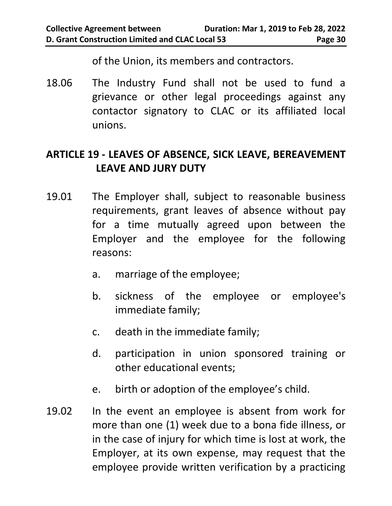of the Union, its members and contractors.

18.06 The Industry Fund shall not be used to fund a grievance or other legal proceedings against any contactor signatory to CLAC or its affiliated local unions.

# <span id="page-33-0"></span>**ARTICLE 19 - LEAVES OF ABSENCE, SICK LEAVE, BEREAVEMENT LEAVE AND JURY DUTY**

- 19.01 The Employer shall, subject to reasonable business requirements, grant leaves of absence without pay for a time mutually agreed upon between the Employer and the employee for the following reasons:
	- a. marriage of the employee;
	- b. sickness of the employee or employee's immediate family;
	- c. death in the immediate family;
	- d. participation in union sponsored training or other educational events;
	- e. birth or adoption of the employee's child.
- 19.02 In the event an employee is absent from work for more than one (1) week due to a bona fide illness, or in the case of injury for which time is lost at work, the Employer, at its own expense, may request that the employee provide written verification by a practicing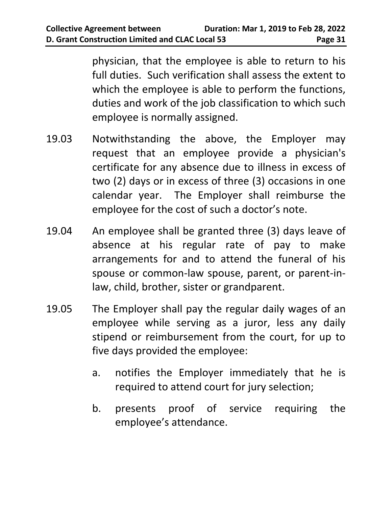physician, that the employee is able to return to his full duties. Such verification shall assess the extent to which the employee is able to perform the functions, duties and work of the job classification to which such employee is normally assigned.

- 19.03 Notwithstanding the above, the Employer may request that an employee provide a physician's certificate for any absence due to illness in excess of two (2) days or in excess of three (3) occasions in one calendar year. The Employer shall reimburse the employee for the cost of such a doctor's note.
- 19.04 An employee shall be granted three (3) days leave of absence at his regular rate of pay to make arrangements for and to attend the funeral of his spouse or common-law spouse, parent, or parent-inlaw, child, brother, sister or grandparent.
- 19.05 The Employer shall pay the regular daily wages of an employee while serving as a juror, less any daily stipend or reimbursement from the court, for up to five days provided the employee:
	- a. notifies the Employer immediately that he is required to attend court for jury selection;
	- b. presents proof of service requiring the employee's attendance.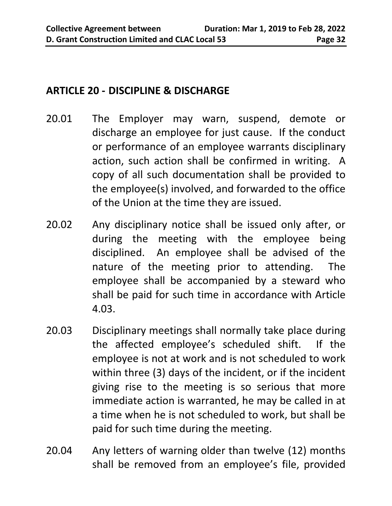#### <span id="page-35-0"></span>**ARTICLE 20 - DISCIPLINE & DISCHARGE**

- 20.01 The Employer may warn, suspend, demote or discharge an employee for just cause. If the conduct or performance of an employee warrants disciplinary action, such action shall be confirmed in writing. A copy of all such documentation shall be provided to the employee(s) involved, and forwarded to the office of the Union at the time they are issued.
- 20.02 Any disciplinary notice shall be issued only after, or during the meeting with the employee being disciplined. An employee shall be advised of the nature of the meeting prior to attending. The employee shall be accompanied by a steward who shall be paid for such time in accordance with Article 4.03.
- 20.03 Disciplinary meetings shall normally take place during the affected employee's scheduled shift. If the employee is not at work and is not scheduled to work within three (3) days of the incident, or if the incident giving rise to the meeting is so serious that more immediate action is warranted, he may be called in at a time when he is not scheduled to work, but shall be paid for such time during the meeting.
- 20.04 Any letters of warning older than twelve (12) months shall be removed from an employee's file, provided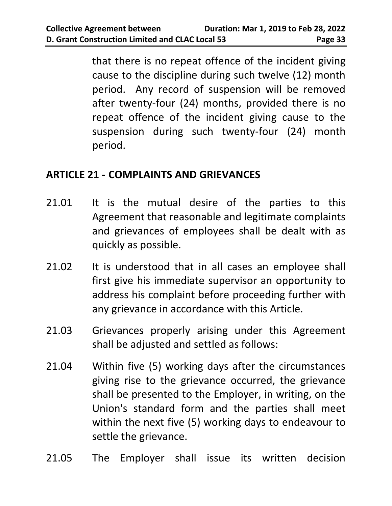that there is no repeat offence of the incident giving cause to the discipline during such twelve (12) month period. Any record of suspension will be removed after twenty-four (24) months, provided there is no repeat offence of the incident giving cause to the suspension during such twenty-four (24) month period.

#### <span id="page-36-0"></span>**ARTICLE 21 - COMPLAINTS AND GRIEVANCES**

- 21.01 It is the mutual desire of the parties to this Agreement that reasonable and legitimate complaints and grievances of employees shall be dealt with as quickly as possible.
- 21.02 It is understood that in all cases an employee shall first give his immediate supervisor an opportunity to address his complaint before proceeding further with any grievance in accordance with this Article.
- 21.03 Grievances properly arising under this Agreement shall be adjusted and settled as follows:
- 21.04 Within five (5) working days after the circumstances giving rise to the grievance occurred, the grievance shall be presented to the Employer, in writing, on the Union's standard form and the parties shall meet within the next five (5) working days to endeavour to settle the grievance.
- 21.05 The Employer shall issue its written decision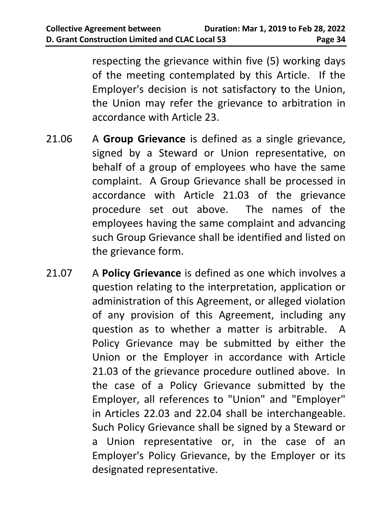respecting the grievance within five (5) working days of the meeting contemplated by this Article. If the Employer's decision is not satisfactory to the Union, the Union may refer the grievance to arbitration in accordance with Article 23.

- 21.06 A **Group Grievance** is defined as a single grievance, signed by a Steward or Union representative, on behalf of a group of employees who have the same complaint. A Group Grievance shall be processed in accordance with Article 21.03 of the grievance procedure set out above. The names of the employees having the same complaint and advancing such Group Grievance shall be identified and listed on the grievance form.
- 21.07 A **Policy Grievance** is defined as one which involves a question relating to the interpretation, application or administration of this Agreement, or alleged violation of any provision of this Agreement, including any question as to whether a matter is arbitrable. A Policy Grievance may be submitted by either the Union or the Employer in accordance with Article 21.03 of the grievance procedure outlined above. In the case of a Policy Grievance submitted by the Employer, all references to "Union" and "Employer" in Articles 22.03 and 22.04 shall be interchangeable. Such Policy Grievance shall be signed by a Steward or a Union representative or, in the case of an Employer's Policy Grievance, by the Employer or its designated representative.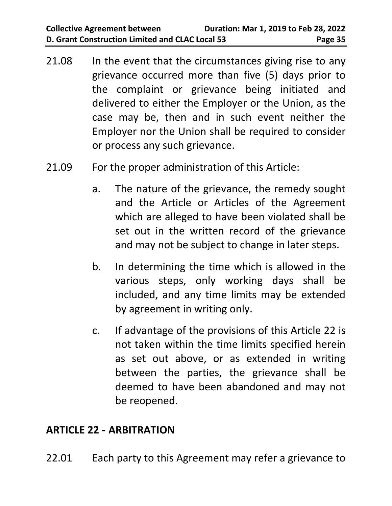- 21.08 In the event that the circumstances giving rise to any grievance occurred more than five (5) days prior to the complaint or grievance being initiated and delivered to either the Employer or the Union, as the case may be, then and in such event neither the Employer nor the Union shall be required to consider or process any such grievance.
- 21.09 For the proper administration of this Article:
	- a. The nature of the grievance, the remedy sought and the Article or Articles of the Agreement which are alleged to have been violated shall be set out in the written record of the grievance and may not be subject to change in later steps.
	- b. In determining the time which is allowed in the various steps, only working days shall be included, and any time limits may be extended by agreement in writing only.
	- c. If advantage of the provisions of this Article 22 is not taken within the time limits specified herein as set out above, or as extended in writing between the parties, the grievance shall be deemed to have been abandoned and may not be reopened.

#### <span id="page-38-0"></span>**ARTICLE 22 - ARBITRATION**

22.01 Each party to this Agreement may refer a grievance to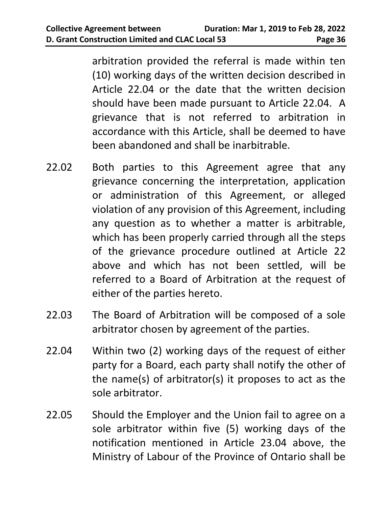arbitration provided the referral is made within ten (10) working days of the written decision described in Article 22.04 or the date that the written decision should have been made pursuant to Article 22.04. A grievance that is not referred to arbitration in accordance with this Article, shall be deemed to have been abandoned and shall be inarbitrable.

- 22.02 Both parties to this Agreement agree that any grievance concerning the interpretation, application or administration of this Agreement, or alleged violation of any provision of this Agreement, including any question as to whether a matter is arbitrable, which has been properly carried through all the steps of the grievance procedure outlined at Article 22 above and which has not been settled, will be referred to a Board of Arbitration at the request of either of the parties hereto.
- 22.03 The Board of Arbitration will be composed of a sole arbitrator chosen by agreement of the parties.
- 22.04 Within two (2) working days of the request of either party for a Board, each party shall notify the other of the name(s) of arbitrator(s) it proposes to act as the sole arbitrator.
- 22.05 Should the Employer and the Union fail to agree on a sole arbitrator within five (5) working days of the notification mentioned in Article 23.04 above, the Ministry of Labour of the Province of Ontario shall be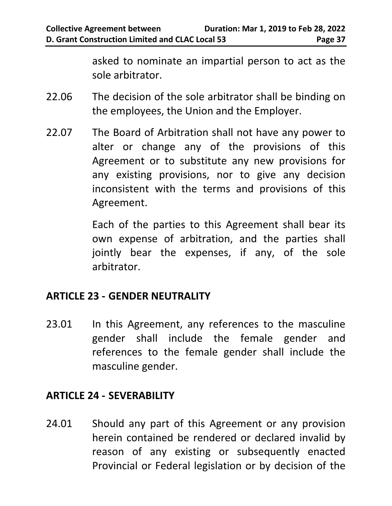asked to nominate an impartial person to act as the sole arbitrator.

- 22.06 The decision of the sole arbitrator shall be binding on the employees, the Union and the Employer.
- 22.07 The Board of Arbitration shall not have any power to alter or change any of the provisions of this Agreement or to substitute any new provisions for any existing provisions, nor to give any decision inconsistent with the terms and provisions of this Agreement.

Each of the parties to this Agreement shall bear its own expense of arbitration, and the parties shall jointly bear the expenses, if any, of the sole arbitrator.

#### <span id="page-40-0"></span>**ARTICLE 23 - GENDER NEUTRALITY**

23.01 In this Agreement, any references to the masculine gender shall include the female gender and references to the female gender shall include the masculine gender.

#### <span id="page-40-1"></span>**ARTICLE 24 - SEVERABILITY**

24.01 Should any part of this Agreement or any provision herein contained be rendered or declared invalid by reason of any existing or subsequently enacted Provincial or Federal legislation or by decision of the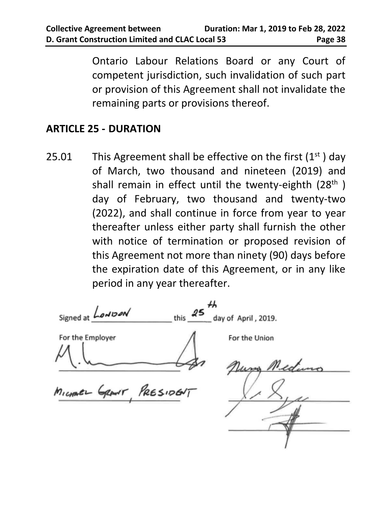Ontario Labour Relations Board or any Court of competent jurisdiction, such invalidation of such part or provision of this Agreement shall not invalidate the remaining parts or provisions thereof.

#### <span id="page-41-0"></span>**ARTICLE 25 - DURATION**

25.01 This Agreement shall be effective on the first  $(1<sup>st</sup>)$  day of March, two thousand and nineteen (2019) and shall remain in effect until the twenty-eighth  $(28<sup>th</sup>)$ day of February, two thousand and twenty-two (2022), and shall continue in force from year to year thereafter unless either party shall furnish the other with notice of termination or proposed revision of this Agreement not more than ninety (90) days before the expiration date of this Agreement, or in any like period in any year thereafter.

<span id="page-41-1"></span>Signed at *LowDon* this day of April, 2019. For the Employer For the Union Nung Mea GRANT PRESIDENT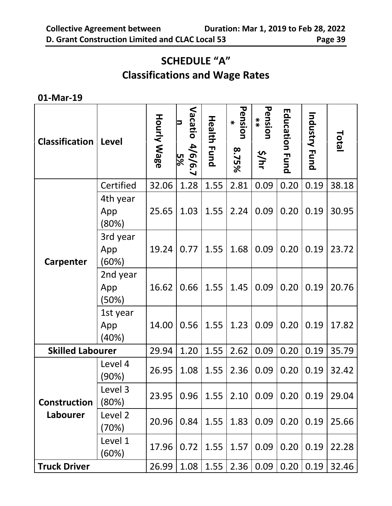### **SCHEDULE "A"**

# **Classifications and Wage Rates**

#### **01-Mar-19**

| <b>Classification</b>           | <b>Level</b>             | <b>Hourly Wage</b> | Vacatio<br>13<br>4/6/6.7<br>5% | <b>Health Fund</b> | Pension<br>$\boldsymbol{*}$<br>8.75% | Pension<br>**<br>5/nhr | <b>Education Fund</b> | Industry Fund | Total |
|---------------------------------|--------------------------|--------------------|--------------------------------|--------------------|--------------------------------------|------------------------|-----------------------|---------------|-------|
|                                 | Certified                | 32.06              | 1.28                           | 1.55               | 2.81                                 | 0.09                   | 0.20                  | 0.19          | 38.18 |
|                                 | 4th year<br>App<br>(80%) | 25.65              | 1.03                           | 1.55               | 2.24                                 | 0.09                   | 0.20                  | 0.19          | 30.95 |
| Carpenter                       | 3rd year<br>App<br>(60%) | 19.24              | 0.77                           | 1.55               | 1.68                                 | 0.09                   | 0.20                  | 0.19          | 23.72 |
|                                 | 2nd year<br>App<br>(50%) | 16.62              | 0.66                           | 1.55               | 1.45                                 | 0.09                   | 0.20                  | 0.19          | 20.76 |
|                                 | 1st year<br>App<br>(40%) | 14.00              | 0.56                           | 1.55               | 1.23                                 | 0.09                   | 0.20                  | 0.19          | 17.82 |
| <b>Skilled Labourer</b>         |                          | 29.94              | 1.20                           | 1.55               | 2.62                                 | 0.09                   | 0.20                  | 0.19          | 35.79 |
|                                 | Level 4<br>(90%)         | 26.95              | 1.08                           | 1.55               | 2.36                                 | 0.09                   | 0.20                  | 0.19          | 32.42 |
| <b>Construction</b><br>Labourer | Level 3<br>(80%)         | 23.95              | 0.96                           | 1.55               | 2.10                                 | 0.09                   | 0.20                  | 0.19          | 29.04 |
|                                 | Level 2<br>(70%)         | 20.96              | 0.84                           | 1.55               | 1.83                                 | 0.09                   | 0.20                  | 0.19          | 25.66 |
|                                 | Level 1<br>(60%)         | 17.96              | 0.72                           | 1.55               | 1.57                                 | 0.09                   | 0.20                  | 0.19          | 22.28 |
| <b>Truck Driver</b>             |                          | 26.99              | 1.08                           | 1.55               | 2.36                                 | 0.09                   | 0.20                  | 0.19          | 32.46 |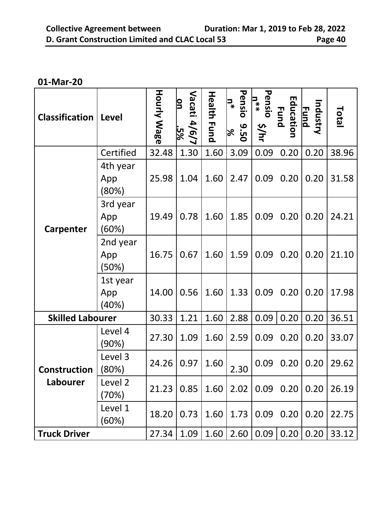#### **01-Mar-20**

| <b>Classification</b>    | Level                    | <b>Hourly Wage</b> | Vacati<br>on<br>4/6/7<br>-5% | <b>Health</b><br><b>Fund</b> | Pensio<br>$n^*$<br>9.50<br>$\approx$ | Pensio<br>$\mathbf{u}^*$<br>s/hr | Education<br><b>Fund</b> | Industry<br><b>Fund</b> | <b>Total</b> |
|--------------------------|--------------------------|--------------------|------------------------------|------------------------------|--------------------------------------|----------------------------------|--------------------------|-------------------------|--------------|
|                          | Certified                | 32.48              | 1.30                         | 1.60                         | 3.09                                 | 0.09                             | 0.20                     | 0.20                    | 38.96        |
| <b>Carpenter</b>         | 4th year<br>App<br>(80%) | 25.98              | 1.04                         | 1.60                         | 2.47                                 | 0.09                             | 0.20                     | 0.20                    | 31.58        |
|                          | 3rd year<br>App<br>(60%) | 19.49              | 0.78                         | 1.60                         | 1.85                                 | 0.09                             | 0.20                     | 0.20                    | 24.21        |
|                          | 2nd year<br>App<br>(50%) | 16.75              | 0.67                         | 1.60                         | 1.59                                 | 0.09                             | 0.20                     | 0.20                    | 21.10        |
|                          | 1st year<br>App<br>(40%) | 14.00              | 0.56                         | 1.60                         | 1.33                                 | 0.09                             | 0.20                     | 0.20                    | 17.98        |
| <b>Skilled Labourer</b>  |                          | 30.33              | 1.21                         | 1.60                         | 2.88                                 | 0.09                             | 0.20                     | 0.20                    | 36.51        |
|                          | Level 4<br>(90%)         | 27.30              | 1.09                         | 1.60                         | 2.59                                 | 0.09                             | 0.20                     | 0.20                    | 33.07        |
| Construction<br>Labourer | Level 3<br>(80%)         | 24.26              | 0.97                         | 1.60                         | 2.30                                 | 0.09                             | 0.20                     | 0.20                    | 29.62        |
|                          | Level 2<br>(70%)         | 21.23              | 0.85                         | 1.60                         | 2.02                                 | 0.09                             | 0.20                     | 0.20                    | 26.19        |
|                          | Level 1<br>(60%)         | 18.20              | 0.73                         | 1.60                         | 1.73                                 | 0.09                             | 0.20                     | 0.20                    | 22.75        |
| <b>Truck Driver</b>      |                          | 27.34              | 1.09                         | 1.60                         | 2.60                                 | 0.09                             | 0.20                     | 0.20                    | 33.12        |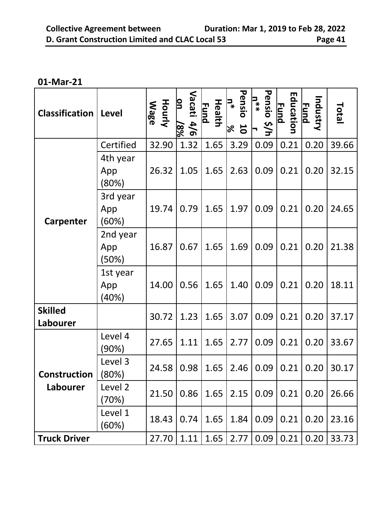**01-Mar-21**

| <b>Classification</b>      | <b>Level</b>             | <b>Hourly</b><br><b>Wage</b> | Vacati<br>β<br>4/6<br>$8\%$ | <b>Health</b><br><b>Fund</b> | Pensio<br>$\mathbf{C}^*$<br>$\overline{\mathbf{C}}$<br>$\%$ | Pensio<br>$\mathbf{u}^*$<br>\$/h | Education<br><b><u>Fund</u></b> | Industry<br><b>Fund</b> | Total |
|----------------------------|--------------------------|------------------------------|-----------------------------|------------------------------|-------------------------------------------------------------|----------------------------------|---------------------------------|-------------------------|-------|
|                            | Certified                | 32.90                        | 1.32                        | 1.65                         | 3.29                                                        | 0.09                             | 0.21                            | 0.20                    | 39.66 |
|                            | 4th year<br>App<br>(80%) | 26.32                        | 1.05                        | 1.65                         | 2.63                                                        | 0.09                             | 0.21                            | 0.20                    | 32.15 |
| Carpenter                  | 3rd year<br>App<br>(60%) | 19.74                        | 0.79                        | 1.65                         | 1.97                                                        | 0.09                             | 0.21                            | 0.20                    | 24.65 |
|                            | 2nd year<br>App<br>(50%) | 16.87                        | 0.67                        | 1.65                         | 1.69                                                        | 0.09                             | 0.21                            | 0.20                    | 21.38 |
|                            | 1st year<br>App<br>(40%) | 14.00                        | 0.56                        | 1.65                         | 1.40                                                        | 0.09                             | 0.21                            | 0.20                    | 18.11 |
| <b>Skilled</b><br>Labourer |                          | 30.72                        | 1.23                        | 1.65                         | 3.07                                                        | 0.09                             | 0.21                            | 0.20                    | 37.17 |
|                            | Level 4<br>(90%)         | 27.65                        | 1.11                        | 1.65                         | 2.77                                                        | 0.09                             | 0.21                            | 0.20                    | 33.67 |
| Construction               | Level 3<br>(80%)         | 24.58                        | 0.98                        | 1.65                         | 2.46                                                        | 0.09                             | 0.21                            | 0.20                    | 30.17 |
| Labourer                   | Level 2<br>(70%)         | 21.50                        | 0.86                        | 1.65                         | 2.15                                                        | 0.09                             | 0.21                            | 0.20                    | 26.66 |
|                            | Level 1<br>(60%)         | 18.43                        | 0.74                        | 1.65                         | 1.84                                                        | 0.09                             | 0.21                            | 0.20                    | 23.16 |
| <b>Truck Driver</b>        |                          | 27.70                        | 1.11                        | 1.65                         | 2.77                                                        | 0.09                             | 0.21                            | 0.20                    | 33.73 |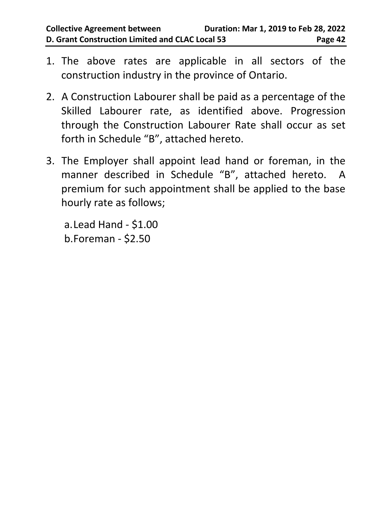- 1. The above rates are applicable in all sectors of the construction industry in the province of Ontario.
- 2. A Construction Labourer shall be paid as a percentage of the Skilled Labourer rate, as identified above. Progression through the Construction Labourer Rate shall occur as set forth in Schedule "B", attached hereto.
- 3. The Employer shall appoint lead hand or foreman, in the manner described in Schedule "B", attached hereto. A premium for such appointment shall be applied to the base hourly rate as follows;

a.Lead Hand - \$1.00 b.Foreman - \$2.50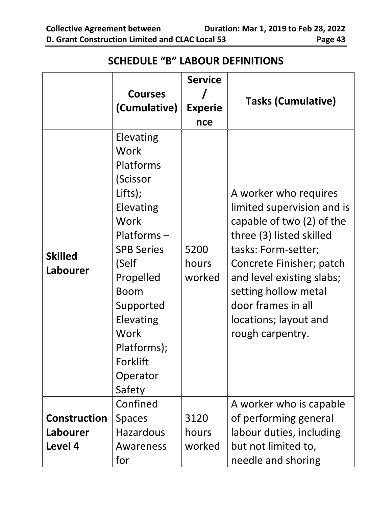<span id="page-46-0"></span>**Courses (Cumulative) Service / Experie nce Tasks (Cumulative) Skilled Labourer** Elevating Work Platforms (Scissor Lifts); Elevating **Work** Platforms – SPB Series (Self Propelled Boom Supported Elevating **Work** Platforms); Forklift Operator Safety 5200 hours worked A worker who requires limited supervision and is capable of two (2) of the three (3) listed skilled tasks: Form-setter; Concrete Finisher; patch and level existing slabs; setting hollow metal door frames in all locations; layout and rough carpentry. **Construction Labourer Level 4** Confined Spaces Hazardous Awareness for 3120 hours worked A worker who is capable of performing general labour duties, including but not limited to, needle and shoring

#### **SCHEDULE "B" LABOUR DEFINITIONS**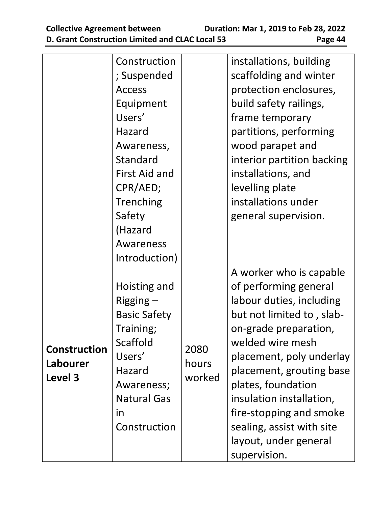|                     | Construction        |        | installations, building    |
|---------------------|---------------------|--------|----------------------------|
|                     | ; Suspended         |        | scaffolding and winter     |
|                     | <b>Access</b>       |        | protection enclosures,     |
|                     | Equipment           |        | build safety railings,     |
|                     | Users'              |        | frame temporary            |
|                     | Hazard              |        | partitions, performing     |
|                     | Awareness,          |        | wood parapet and           |
|                     | Standard            |        | interior partition backing |
|                     | First Aid and       |        | installations, and         |
|                     | CPR/AED;            |        | levelling plate            |
|                     | Trenching           |        | installations under        |
|                     | Safety              |        | general supervision.       |
|                     | (Hazard             |        |                            |
|                     | Awareness           |        |                            |
|                     | Introduction)       |        |                            |
|                     |                     |        | A worker who is capable    |
|                     | Hoisting and        |        | of performing general      |
|                     | Rigging $-$         |        | labour duties, including   |
|                     | <b>Basic Safety</b> |        | but not limited to, slab-  |
|                     | Training;           |        | on-grade preparation,      |
| <b>Construction</b> | Scaffold            | 2080   | welded wire mesh           |
| Labourer            | Users'              | hours  | placement, poly underlay   |
| Level 3             | Hazard              | worked | placement, grouting base   |
|                     | Awareness;          |        | plates, foundation         |
|                     | <b>Natural Gas</b>  |        | insulation installation,   |
|                     | in                  |        | fire-stopping and smoke    |
|                     | Construction        |        | sealing, assist with site  |
|                     |                     |        | layout, under general      |
|                     |                     |        | supervision.               |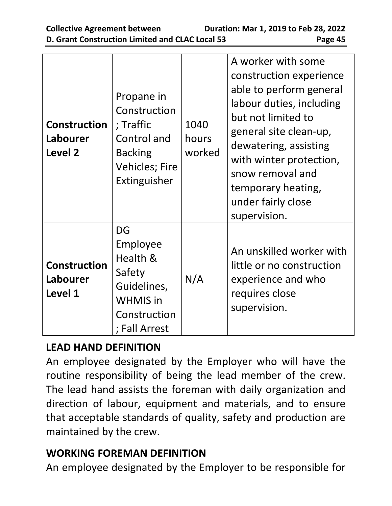| <b>Construction</b><br>Labourer<br>Level 2 | Propane in<br>Construction<br>; Traffic<br>Control and<br><b>Backing</b><br><b>Vehicles; Fire</b><br>Extinguisher | 1040<br>hours<br>worked | A worker with some<br>construction experience<br>able to perform general<br>labour duties, including<br>but not limited to<br>general site clean-up,<br>dewatering, assisting<br>with winter protection,<br>snow removal and<br>temporary heating,<br>under fairly close<br>supervision. |
|--------------------------------------------|-------------------------------------------------------------------------------------------------------------------|-------------------------|------------------------------------------------------------------------------------------------------------------------------------------------------------------------------------------------------------------------------------------------------------------------------------------|
| <b>Construction</b><br>Labourer<br>Level 1 | DG<br>Employee<br>Health &<br>Safety<br>Guidelines,<br><b>WHMIS</b> in<br>Construction<br>; Fall Arrest           | N/A                     | An unskilled worker with<br>little or no construction<br>experience and who<br>requires close<br>supervision.                                                                                                                                                                            |

# **LEAD HAND DEFINITION**

An employee designated by the Employer who will have the routine responsibility of being the lead member of the crew. The lead hand assists the foreman with daily organization and direction of labour, equipment and materials, and to ensure that acceptable standards of quality, safety and production are maintained by the crew.

#### **WORKING FOREMAN DEFINITION**

An employee designated by the Employer to be responsible for